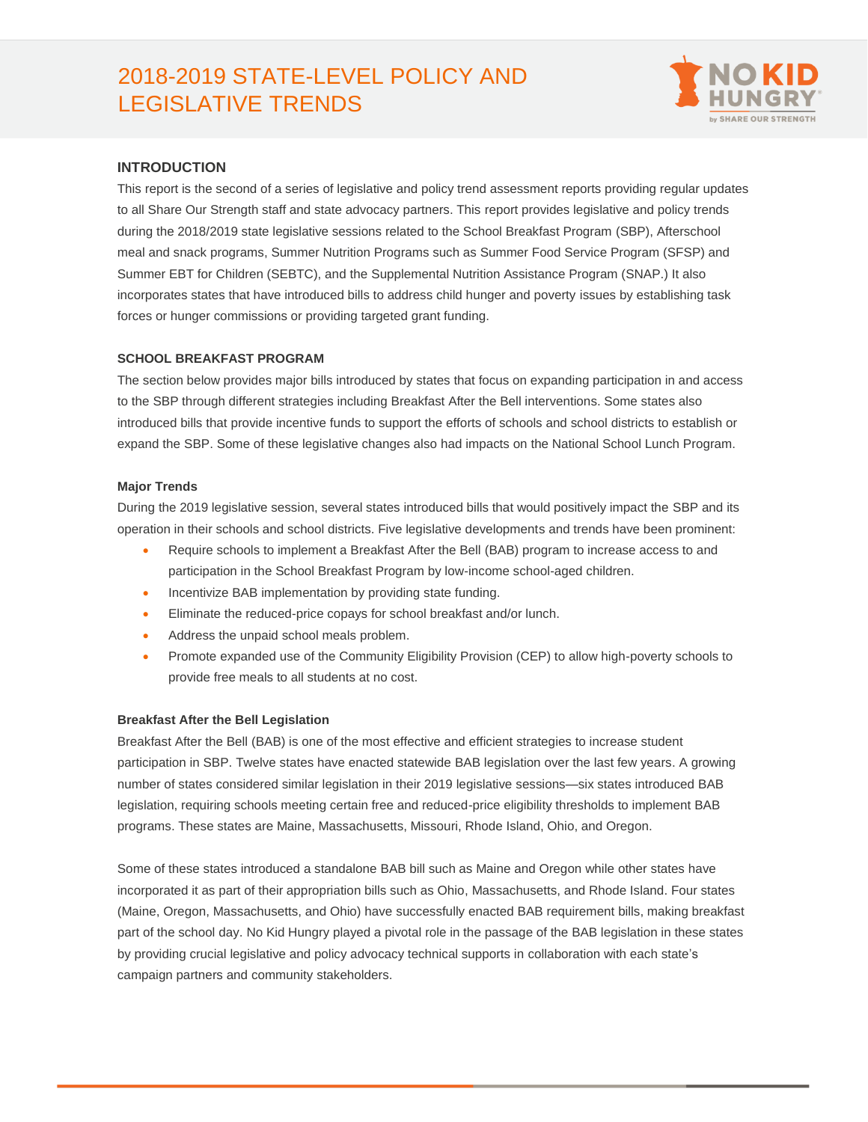# 2018-2019 STATE-LEVEL POLICY AND LEGISLATIVE TRENDS



# **INTRODUCTION**

This report is the second of a series of legislative and policy trend assessment reports providing regular updates to all Share Our Strength staff and state advocacy partners. This report provides legislative and policy trends during the 2018/2019 state legislative sessions related to the School Breakfast Program (SBP), Afterschool meal and snack programs, Summer Nutrition Programs such as Summer Food Service Program (SFSP) and Summer EBT for Children (SEBTC), and the Supplemental Nutrition Assistance Program (SNAP.) It also incorporates states that have introduced bills to address child hunger and poverty issues by establishing task forces or hunger commissions or providing targeted grant funding.

# **SCHOOL BREAKFAST PROGRAM**

The section below provides major bills introduced by states that focus on expanding participation in and access to the SBP through different strategies including Breakfast After the Bell interventions. Some states also introduced bills that provide incentive funds to support the efforts of schools and school districts to establish or expand the SBP. Some of these legislative changes also had impacts on the National School Lunch Program.

## **Major Trends**

During the 2019 legislative session, several states introduced bills that would positively impact the SBP and its operation in their schools and school districts. Five legislative developments and trends have been prominent:

- Require schools to implement a Breakfast After the Bell (BAB) program to increase access to and participation in the School Breakfast Program by low-income school-aged children.
- Incentivize BAB implementation by providing state funding.
- Eliminate the reduced-price copays for school breakfast and/or lunch.
- Address the unpaid school meals problem.
- Promote expanded use of the Community Eligibility Provision (CEP) to allow high-poverty schools to provide free meals to all students at no cost.

## **Breakfast After the Bell Legislation**

Breakfast After the Bell (BAB) is one of the most effective and efficient strategies to increase student participation in SBP. Twelve states have enacted statewide BAB legislation over the last few years. A growing number of states considered similar legislation in their 2019 legislative sessions—six states introduced BAB legislation, requiring schools meeting certain free and reduced-price eligibility thresholds to implement BAB programs. These states are Maine, Massachusetts, Missouri, Rhode Island, Ohio, and Oregon.

Some of these states introduced a standalone BAB bill such as Maine and Oregon while other states have incorporated it as part of their appropriation bills such as Ohio, Massachusetts, and Rhode Island. Four states (Maine, Oregon, Massachusetts, and Ohio) have successfully enacted BAB requirement bills, making breakfast part of the school day. No Kid Hungry played a pivotal role in the passage of the BAB legislation in these states by providing crucial legislative and policy advocacy technical supports in collaboration with each state's campaign partners and community stakeholders.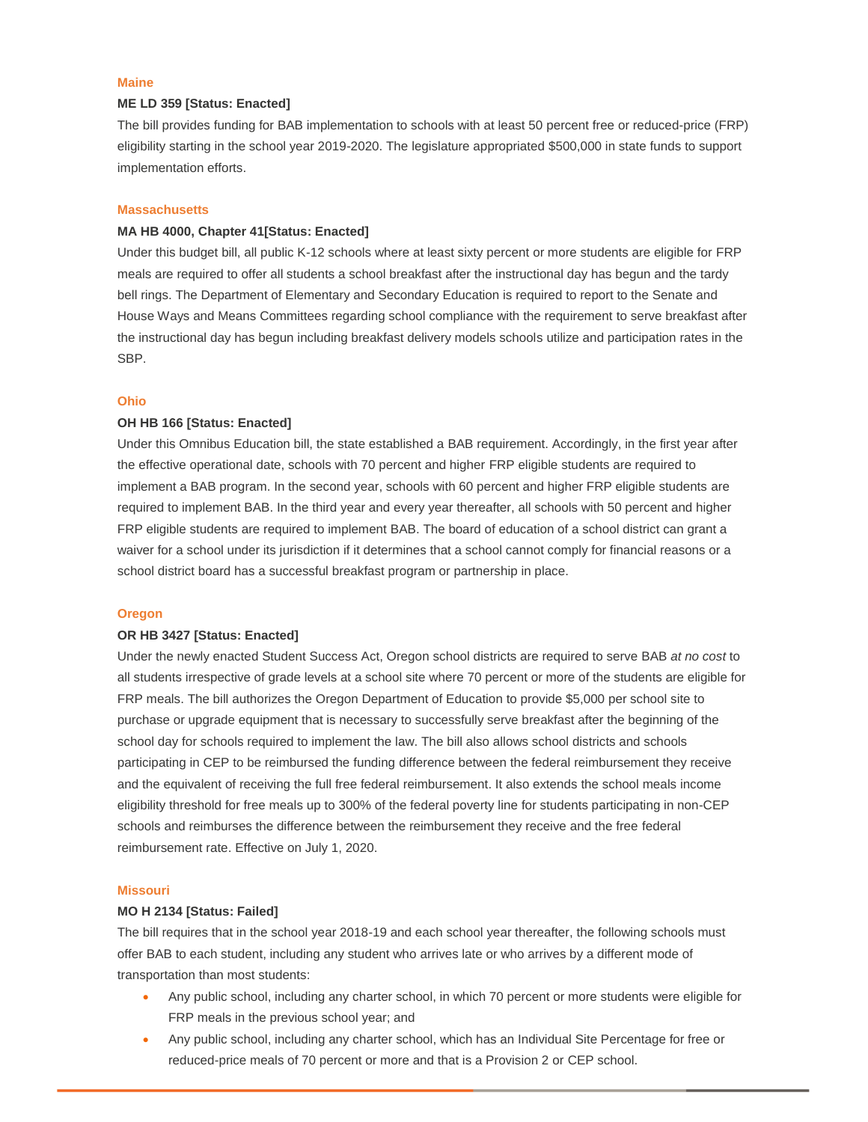#### **Maine**

## **ME LD 359 [Status: Enacted]**

The bill provides funding for BAB implementation to schools with at least 50 percent free or reduced-price (FRP) eligibility starting in the school year 2019-2020. The legislature appropriated \$500,000 in state funds to support implementation efforts.

## **Massachusetts**

## **MA HB 4000, Chapter 41[Status: Enacted]**

Under this budget bill, all public K-12 schools where at least sixty percent or more students are eligible for FRP meals are required to offer all students a school breakfast after the instructional day has begun and the tardy bell rings. The Department of Elementary and Secondary Education is required to report to the Senate and House Ways and Means Committees regarding school compliance with the requirement to serve breakfast after the instructional day has begun including breakfast delivery models schools utilize and participation rates in the SBP.

#### **Ohio**

## **OH HB 166 [Status: Enacted]**

Under this Omnibus Education bill, the state established a BAB requirement. Accordingly, in the first year after the effective operational date, schools with 70 percent and higher FRP eligible students are required to implement a BAB program. In the second year, schools with 60 percent and higher FRP eligible students are required to implement BAB. In the third year and every year thereafter, all schools with 50 percent and higher FRP eligible students are required to implement BAB. The board of education of a school district can grant a waiver for a school under its jurisdiction if it determines that a school cannot comply for financial reasons or a school district board has a successful breakfast program or partnership in place.

## **Oregon**

#### **OR HB 3427 [Status: Enacted]**

Under the newly enacted Student Success Act, Oregon school districts are required to serve BAB *at no cost* to all students irrespective of grade levels at a school site where 70 percent or more of the students are eligible for FRP meals. The bill authorizes the Oregon Department of Education to provide \$5,000 per school site to purchase or upgrade equipment that is necessary to successfully serve breakfast after the beginning of the school day for schools required to implement the law. The bill also allows school districts and schools participating in CEP to be reimbursed the funding difference between the federal reimbursement they receive and the equivalent of receiving the full free federal reimbursement. It also extends the school meals income eligibility threshold for free meals up to 300% of the federal poverty line for students participating in non-CEP schools and reimburses the difference between the reimbursement they receive and the free federal reimbursement rate. Effective on July 1, 2020.

## **Missouri**

## **MO H 2134 [Status: Failed]**

The bill requires that in the school year 2018-19 and each school year thereafter, the following schools must offer BAB to each student, including any student who arrives late or who arrives by a different mode of transportation than most students:

- Any public school, including any charter school, in which 70 percent or more students were eligible for FRP meals in the previous school year; and
- Any public school, including any charter school, which has an Individual Site Percentage for free or reduced-price meals of 70 percent or more and that is a Provision 2 or CEP school.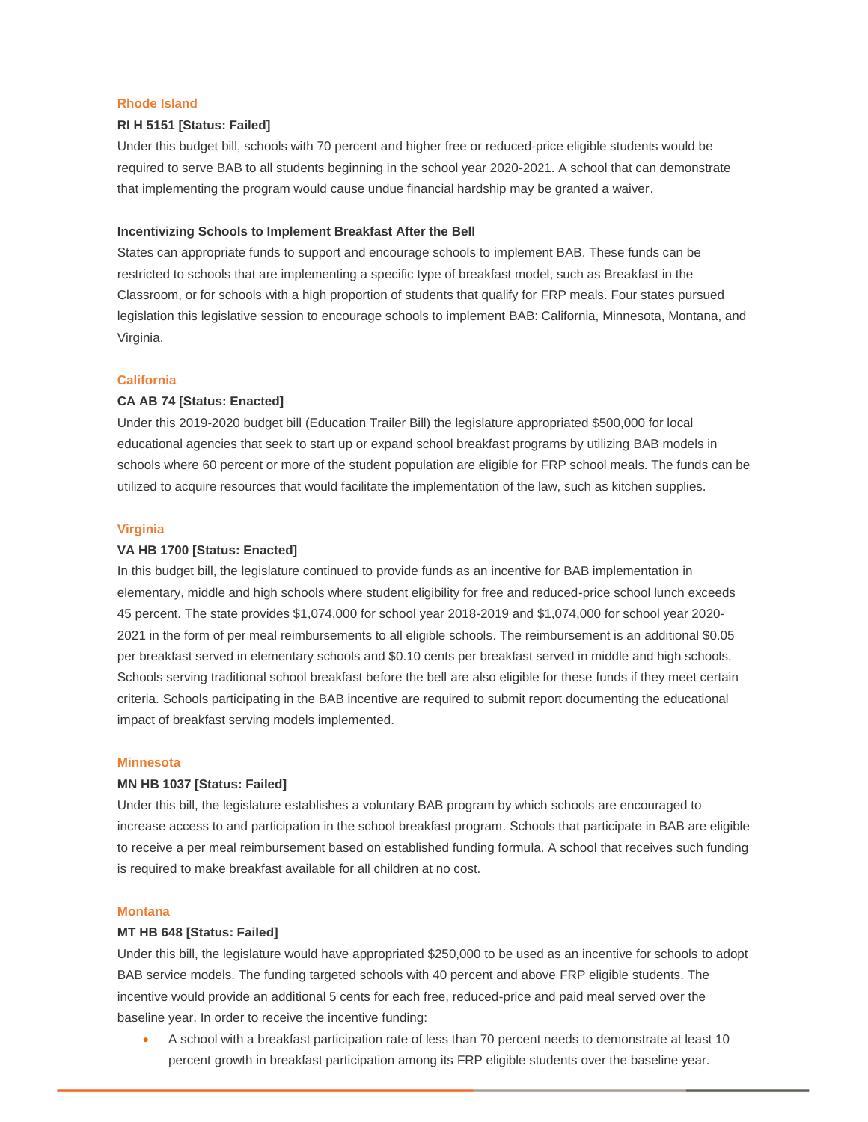# **Rhode Island**

# **RI H 5151 [Status: Failed]**

Under this budget bill, schools with 70 percent and higher free or reduced-price eligible students would be required to serve BAB to all students beginning in the school year 2020-2021. A school that can demonstrate that implementing the program would cause undue financial hardship may be granted a waiver.

## **Incentivizing Schools to Implement Breakfast After the Bell**

States can appropriate funds to support and encourage schools to implement BAB. These funds can be restricted to schools that are implementing a specific type of breakfast model, such as Breakfast in the Classroom, or for schools with a high proportion of students that qualify for FRP meals. Four states pursued legislation this legislative session to encourage schools to implement BAB: California, Minnesota, Montana, and Virginia.

## **California**

## **CA AB 74 [Status: Enacted]**

Under this 2019-2020 budget bill (Education Trailer Bill) the legislature appropriated \$500,000 for local educational agencies that seek to start up or expand school breakfast programs by utilizing BAB models in schools where 60 percent or more of the student population are eligible for FRP school meals. The funds can be utilized to acquire resources that would facilitate the implementation of the law, such as kitchen supplies.

## **Virginia**

## **VA HB 1700 [Status: Enacted]**

In this budget bill, the legislature continued to provide funds as an incentive for BAB implementation in elementary, middle and high schools where student eligibility for free and reduced-price school lunch exceeds 45 percent. The state provides \$1,074,000 for school year 2018-2019 and \$1,074,000 for school year 2020- 2021 in the form of per meal reimbursements to all eligible schools. The reimbursement is an additional \$0.05 per breakfast served in elementary schools and \$0.10 cents per breakfast served in middle and high schools. Schools serving traditional school breakfast before the bell are also eligible for these funds if they meet certain criteria. Schools participating in the BAB incentive are required to submit report documenting the educational impact of breakfast serving models implemented.

#### **Minnesota**

### **MN HB 1037 [Status: Failed]**

Under this bill, the legislature establishes a voluntary BAB program by which schools are encouraged to increase access to and participation in the school breakfast program. Schools that participate in BAB are eligible to receive a per meal reimbursement based on established funding formula. A school that receives such funding is required to make breakfast available for all children at no cost.

# **Montana**

## **MT HB 648 [Status: Failed]**

Under this bill, the legislature would have appropriated \$250,000 to be used as an incentive for schools to adopt BAB service models. The funding targeted schools with 40 percent and above FRP eligible students. The incentive would provide an additional 5 cents for each free, reduced-price and paid meal served over the baseline year. In order to receive the incentive funding:

• A school with a breakfast participation rate of less than 70 percent needs to demonstrate at least 10 percent growth in breakfast participation among its FRP eligible students over the baseline year.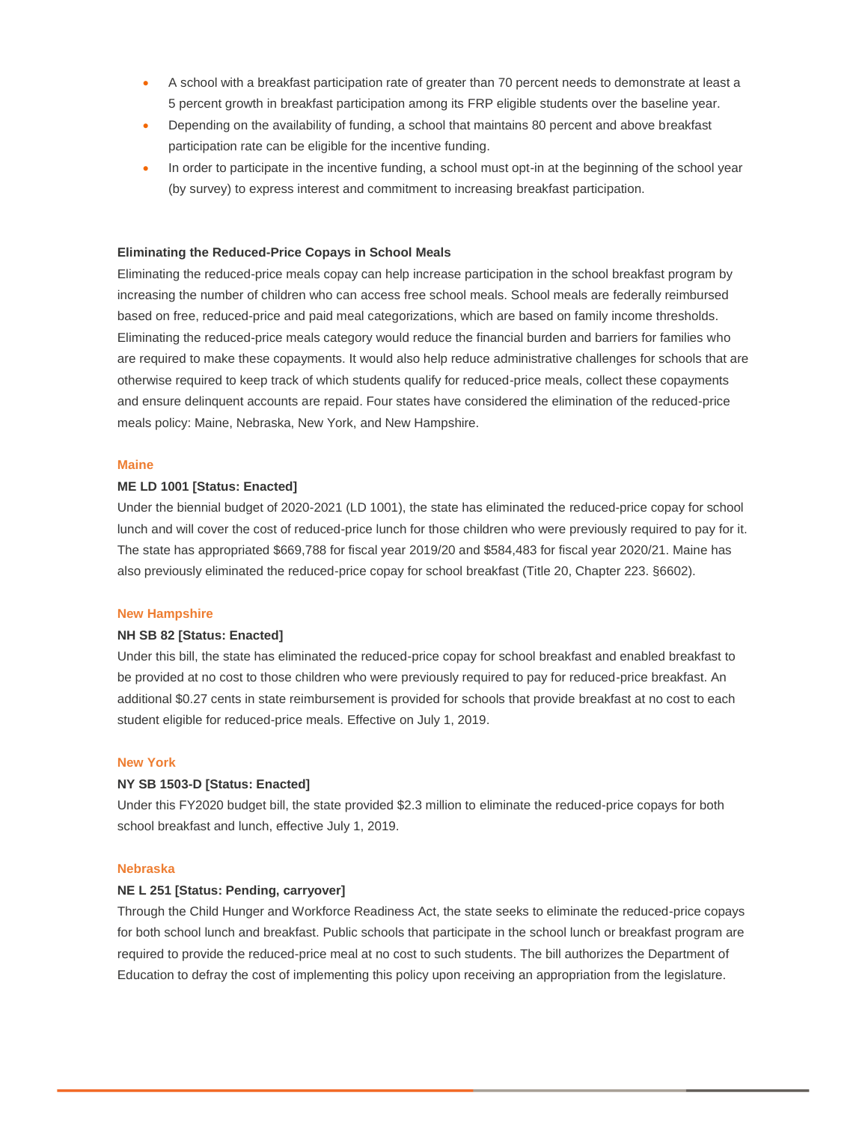- A school with a breakfast participation rate of greater than 70 percent needs to demonstrate at least a 5 percent growth in breakfast participation among its FRP eligible students over the baseline year.
- Depending on the availability of funding, a school that maintains 80 percent and above breakfast participation rate can be eligible for the incentive funding.
- In order to participate in the incentive funding, a school must opt-in at the beginning of the school year (by survey) to express interest and commitment to increasing breakfast participation.

## **Eliminating the Reduced-Price Copays in School Meals**

Eliminating the reduced-price meals copay can help increase participation in the school breakfast program by increasing the number of children who can access free school meals. School meals are federally reimbursed based on free, reduced-price and paid meal categorizations, which are based on family income thresholds. Eliminating the reduced-price meals category would reduce the financial burden and barriers for families who are required to make these copayments. It would also help reduce administrative challenges for schools that are otherwise required to keep track of which students qualify for reduced-price meals, collect these copayments and ensure delinquent accounts are repaid. Four states have considered the elimination of the reduced-price meals policy: Maine, Nebraska, New York, and New Hampshire.

#### **Maine**

### **ME LD 1001 [Status: Enacted]**

Under the biennial budget of 2020-2021 (LD 1001), the state has eliminated the reduced-price copay for school lunch and will cover the cost of reduced-price lunch for those children who were previously required to pay for it. The state has appropriated \$669,788 for fiscal year 2019/20 and \$584,483 for fiscal year 2020/21. Maine has also previously eliminated the reduced-price copay for school breakfast (Title 20, Chapter 223. §6602).

#### **New Hampshire**

#### **NH SB 82 [Status: Enacted]**

Under this bill, the state has eliminated the reduced-price copay for school breakfast and enabled breakfast to be provided at no cost to those children who were previously required to pay for reduced-price breakfast. An additional \$0.27 cents in state reimbursement is provided for schools that provide breakfast at no cost to each student eligible for reduced-price meals. Effective on July 1, 2019.

## **New York**

### **NY SB 1503-D [Status: Enacted]**

Under this FY2020 budget bill, the state provided \$2.3 million to eliminate the reduced-price copays for both school breakfast and lunch, effective July 1, 2019.

#### **Nebraska**

## **NE L 251 [Status: Pending, carryover]**

Through the Child Hunger and Workforce Readiness Act, the state seeks to eliminate the reduced-price copays for both school lunch and breakfast. Public schools that participate in the school lunch or breakfast program are required to provide the reduced-price meal at no cost to such students. The bill authorizes the Department of Education to defray the cost of implementing this policy upon receiving an appropriation from the legislature.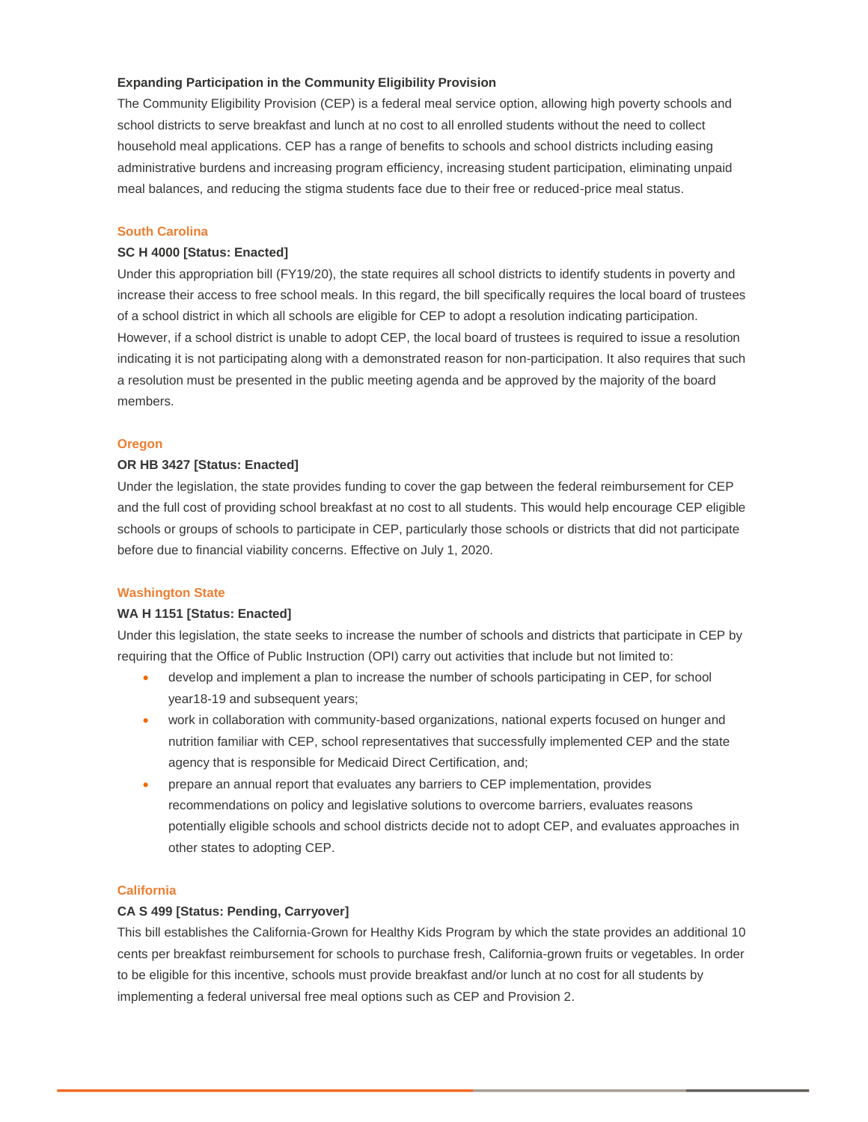## **Expanding Participation in the Community Eligibility Provision**

The Community Eligibility Provision (CEP) is a federal meal service option, allowing high poverty schools and school districts to serve breakfast and lunch at no cost to all enrolled students without the need to collect household meal applications. CEP has a range of benefits to schools and school districts including easing administrative burdens and increasing program efficiency, increasing student participation, eliminating unpaid meal balances, and reducing the stigma students face due to their free or reduced-price meal status.

## **South Carolina**

## **SC H 4000 [Status: Enacted]**

Under this appropriation bill (FY19/20), the state requires all school districts to identify students in poverty and increase their access to free school meals. In this regard, the bill specifically requires the local board of trustees of a school district in which all schools are eligible for CEP to adopt a resolution indicating participation. However, if a school district is unable to adopt CEP, the local board of trustees is required to issue a resolution indicating it is not participating along with a demonstrated reason for non-participation. It also requires that such a resolution must be presented in the public meeting agenda and be approved by the majority of the board members.

## **Oregon**

## **OR HB 3427 [Status: Enacted]**

Under the legislation, the state provides funding to cover the gap between the federal reimbursement for CEP and the full cost of providing school breakfast at no cost to all students. This would help encourage CEP eligible schools or groups of schools to participate in CEP, particularly those schools or districts that did not participate before due to financial viability concerns. Effective on July 1, 2020.

#### **Washington State**

## **WA H 1151 [Status: Enacted]**

Under this legislation, the state seeks to increase the number of schools and districts that participate in CEP by requiring that the Office of Public Instruction (OPI) carry out activities that include but not limited to:

- develop and implement a plan to increase the number of schools participating in CEP, for school year18-19 and subsequent years;
- work in collaboration with community-based organizations, national experts focused on hunger and nutrition familiar with CEP, school representatives that successfully implemented CEP and the state agency that is responsible for Medicaid Direct Certification, and;
- prepare an annual report that evaluates any barriers to CEP implementation, provides recommendations on policy and legislative solutions to overcome barriers, evaluates reasons potentially eligible schools and school districts decide not to adopt CEP, and evaluates approaches in other states to adopting CEP.

## **California**

## **CA S 499 [Status: Pending, Carryover]**

This bill establishes the California-Grown for Healthy Kids Program by which the state provides an additional 10 cents per breakfast reimbursement for schools to purchase fresh, California-grown fruits or vegetables. In order to be eligible for this incentive, schools must provide breakfast and/or lunch at no cost for all students by implementing a federal universal free meal options such as CEP and Provision 2.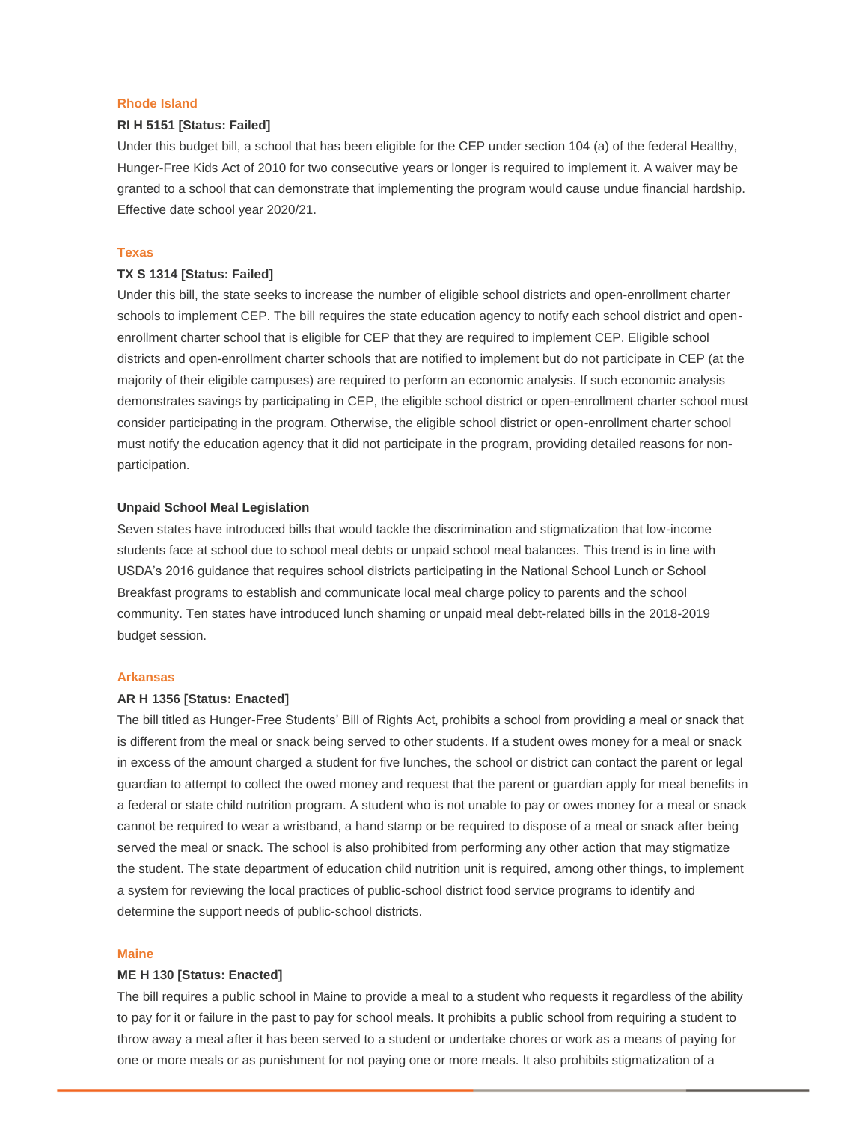## **Rhode Island**

# **RI H 5151 [Status: Failed]**

Under this budget bill, a school that has been eligible for the CEP under section 104 (a) of the federal Healthy, Hunger-Free Kids Act of 2010 for two consecutive years or longer is required to implement it. A waiver may be granted to a school that can demonstrate that implementing the program would cause undue financial hardship. Effective date school year 2020/21.

## **Texas**

# **TX S 1314 [Status: Failed]**

Under this bill, the state seeks to increase the number of eligible school districts and open-enrollment charter schools to implement CEP. The bill requires the state education agency to notify each school district and openenrollment charter school that is eligible for CEP that they are required to implement CEP. Eligible school districts and open-enrollment charter schools that are notified to implement but do not participate in CEP (at the majority of their eligible campuses) are required to perform an economic analysis. If such economic analysis demonstrates savings by participating in CEP, the eligible school district or open-enrollment charter school must consider participating in the program. Otherwise, the eligible school district or open-enrollment charter school must notify the education agency that it did not participate in the program, providing detailed reasons for nonparticipation.

## **Unpaid School Meal Legislation**

Seven states have introduced bills that would tackle the discrimination and stigmatization that low-income students face at school due to school meal debts or unpaid school meal balances. This trend is in line with USDA's 2016 guidance that requires school districts participating in the National School Lunch or School Breakfast programs to establish and communicate local meal charge policy to parents and the school community. Ten states have introduced lunch shaming or unpaid meal debt-related bills in the 2018-2019 budget session.

## **Arkansas**

## **AR H 1356 [Status: Enacted]**

The bill titled as Hunger-Free Students' Bill of Rights Act, prohibits a school from providing a meal or snack that is different from the meal or snack being served to other students. If a student owes money for a meal or snack in excess of the amount charged a student for five lunches, the school or district can contact the parent or legal guardian to attempt to collect the owed money and request that the parent or guardian apply for meal benefits in a federal or state child nutrition program. A student who is not unable to pay or owes money for a meal or snack cannot be required to wear a wristband, a hand stamp or be required to dispose of a meal or snack after being served the meal or snack. The school is also prohibited from performing any other action that may stigmatize the student. The state department of education child nutrition unit is required, among other things, to implement a system for reviewing the local practices of public-school district food service programs to identify and determine the support needs of public-school districts.

#### **Maine**

#### **ME H 130 [Status: Enacted]**

The bill requires a public school in Maine to provide a meal to a student who requests it regardless of the ability to pay for it or failure in the past to pay for school meals. It prohibits a public school from requiring a student to throw away a meal after it has been served to a student or undertake chores or work as a means of paying for one or more meals or as punishment for not paying one or more meals. It also prohibits stigmatization of a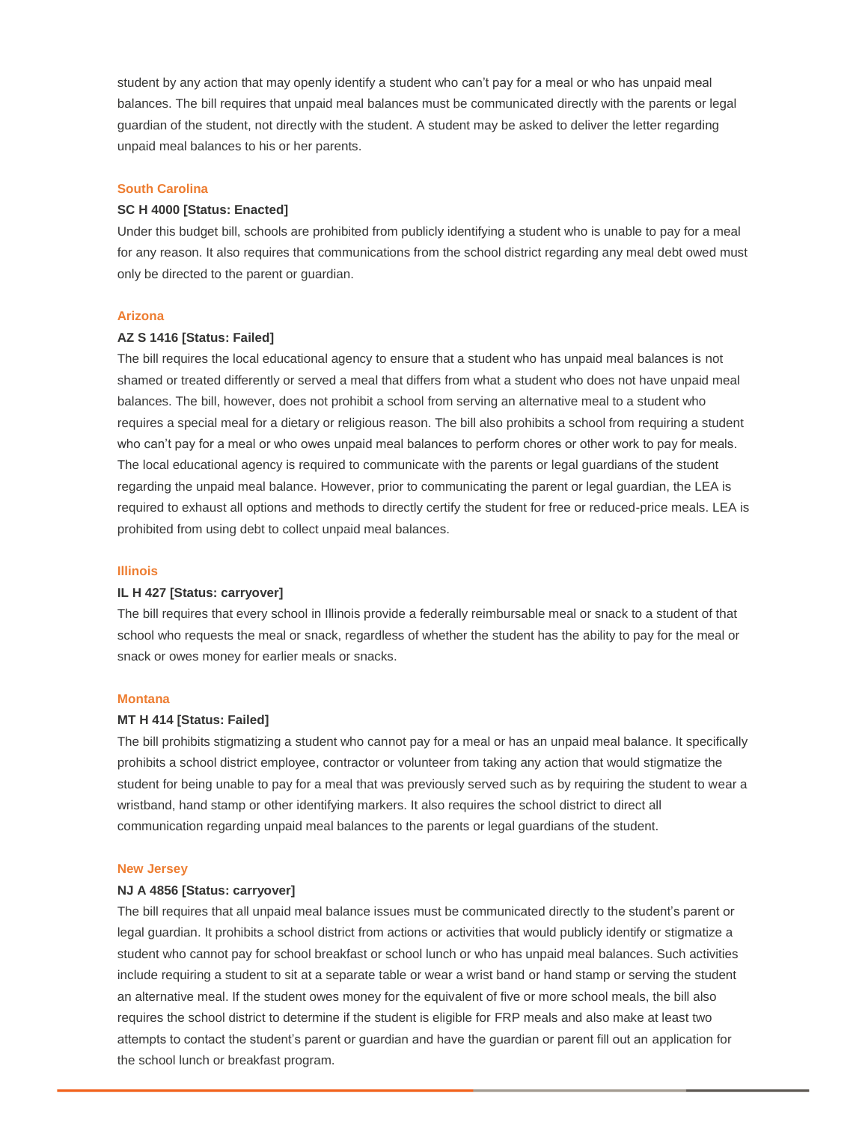student by any action that may openly identify a student who can't pay for a meal or who has unpaid meal balances. The bill requires that unpaid meal balances must be communicated directly with the parents or legal guardian of the student, not directly with the student. A student may be asked to deliver the letter regarding unpaid meal balances to his or her parents.

# **South Carolina**

# **SC H 4000 [Status: Enacted]**

Under this budget bill, schools are prohibited from publicly identifying a student who is unable to pay for a meal for any reason. It also requires that communications from the school district regarding any meal debt owed must only be directed to the parent or guardian.

#### **Arizona**

## **AZ S 1416 [Status: Failed]**

The bill requires the local educational agency to ensure that a student who has unpaid meal balances is not shamed or treated differently or served a meal that differs from what a student who does not have unpaid meal balances. The bill, however, does not prohibit a school from serving an alternative meal to a student who requires a special meal for a dietary or religious reason. The bill also prohibits a school from requiring a student who can't pay for a meal or who owes unpaid meal balances to perform chores or other work to pay for meals. The local educational agency is required to communicate with the parents or legal guardians of the student regarding the unpaid meal balance. However, prior to communicating the parent or legal guardian, the LEA is required to exhaust all options and methods to directly certify the student for free or reduced-price meals. LEA is prohibited from using debt to collect unpaid meal balances.

#### **Illinois**

#### **IL H 427 [Status: carryover]**

The bill requires that every school in Illinois provide a federally reimbursable meal or snack to a student of that school who requests the meal or snack, regardless of whether the student has the ability to pay for the meal or snack or owes money for earlier meals or snacks.

## **Montana**

## **MT H 414 [Status: Failed]**

The bill prohibits stigmatizing a student who cannot pay for a meal or has an unpaid meal balance. It specifically prohibits a school district employee, contractor or volunteer from taking any action that would stigmatize the student for being unable to pay for a meal that was previously served such as by requiring the student to wear a wristband, hand stamp or other identifying markers. It also requires the school district to direct all communication regarding unpaid meal balances to the parents or legal guardians of the student.

#### **New Jersey**

#### **NJ A 4856 [Status: carryover]**

The bill requires that all unpaid meal balance issues must be communicated directly to the student's parent or legal guardian. It prohibits a school district from actions or activities that would publicly identify or stigmatize a student who cannot pay for school breakfast or school lunch or who has unpaid meal balances. Such activities include requiring a student to sit at a separate table or wear a wrist band or hand stamp or serving the student an alternative meal. If the student owes money for the equivalent of five or more school meals, the bill also requires the school district to determine if the student is eligible for FRP meals and also make at least two attempts to contact the student's parent or guardian and have the guardian or parent fill out an application for the school lunch or breakfast program.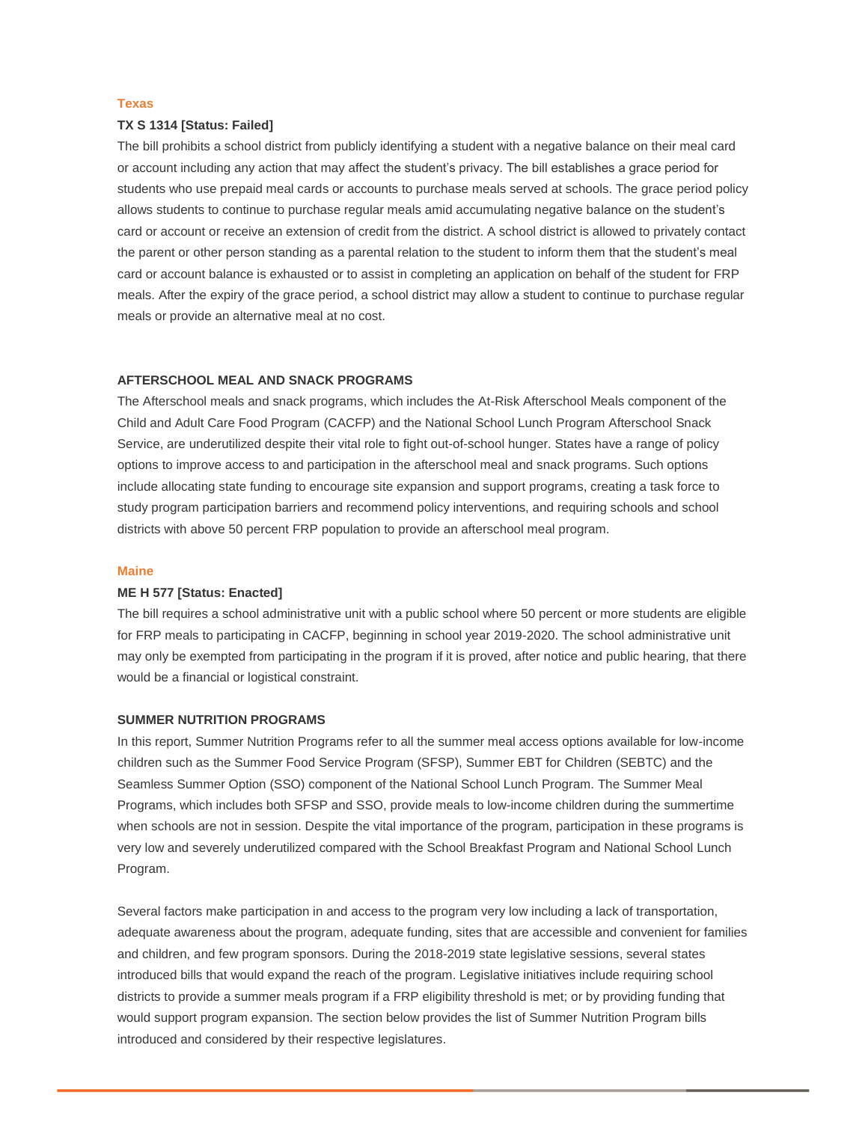## **Texas**

## **TX S 1314 [Status: Failed]**

The bill prohibits a school district from publicly identifying a student with a negative balance on their meal card or account including any action that may affect the student's privacy. The bill establishes a grace period for students who use prepaid meal cards or accounts to purchase meals served at schools. The grace period policy allows students to continue to purchase regular meals amid accumulating negative balance on the student's card or account or receive an extension of credit from the district. A school district is allowed to privately contact the parent or other person standing as a parental relation to the student to inform them that the student's meal card or account balance is exhausted or to assist in completing an application on behalf of the student for FRP meals. After the expiry of the grace period, a school district may allow a student to continue to purchase regular meals or provide an alternative meal at no cost.

#### **AFTERSCHOOL MEAL AND SNACK PROGRAMS**

The Afterschool meals and snack programs, which includes the At-Risk Afterschool Meals component of the Child and Adult Care Food Program (CACFP) and the National School Lunch Program Afterschool Snack Service, are underutilized despite their vital role to fight out-of-school hunger. States have a range of policy options to improve access to and participation in the afterschool meal and snack programs. Such options include allocating state funding to encourage site expansion and support programs, creating a task force to study program participation barriers and recommend policy interventions, and requiring schools and school districts with above 50 percent FRP population to provide an afterschool meal program.

#### **Maine**

## **ME H 577 [Status: Enacted]**

The bill requires a school administrative unit with a public school where 50 percent or more students are eligible for FRP meals to participating in CACFP, beginning in school year 2019-2020. The school administrative unit may only be exempted from participating in the program if it is proved, after notice and public hearing, that there would be a financial or logistical constraint.

# **SUMMER NUTRITION PROGRAMS**

In this report, Summer Nutrition Programs refer to all the summer meal access options available for low-income children such as the Summer Food Service Program (SFSP), Summer EBT for Children (SEBTC) and the Seamless Summer Option (SSO) component of the National School Lunch Program. The Summer Meal Programs, which includes both SFSP and SSO, provide meals to low-income children during the summertime when schools are not in session. Despite the vital importance of the program, participation in these programs is very low and severely underutilized compared with the School Breakfast Program and National School Lunch Program.

Several factors make participation in and access to the program very low including a lack of transportation, adequate awareness about the program, adequate funding, sites that are accessible and convenient for families and children, and few program sponsors. During the 2018-2019 state legislative sessions, several states introduced bills that would expand the reach of the program. Legislative initiatives include requiring school districts to provide a summer meals program if a FRP eligibility threshold is met; or by providing funding that would support program expansion. The section below provides the list of Summer Nutrition Program bills introduced and considered by their respective legislatures.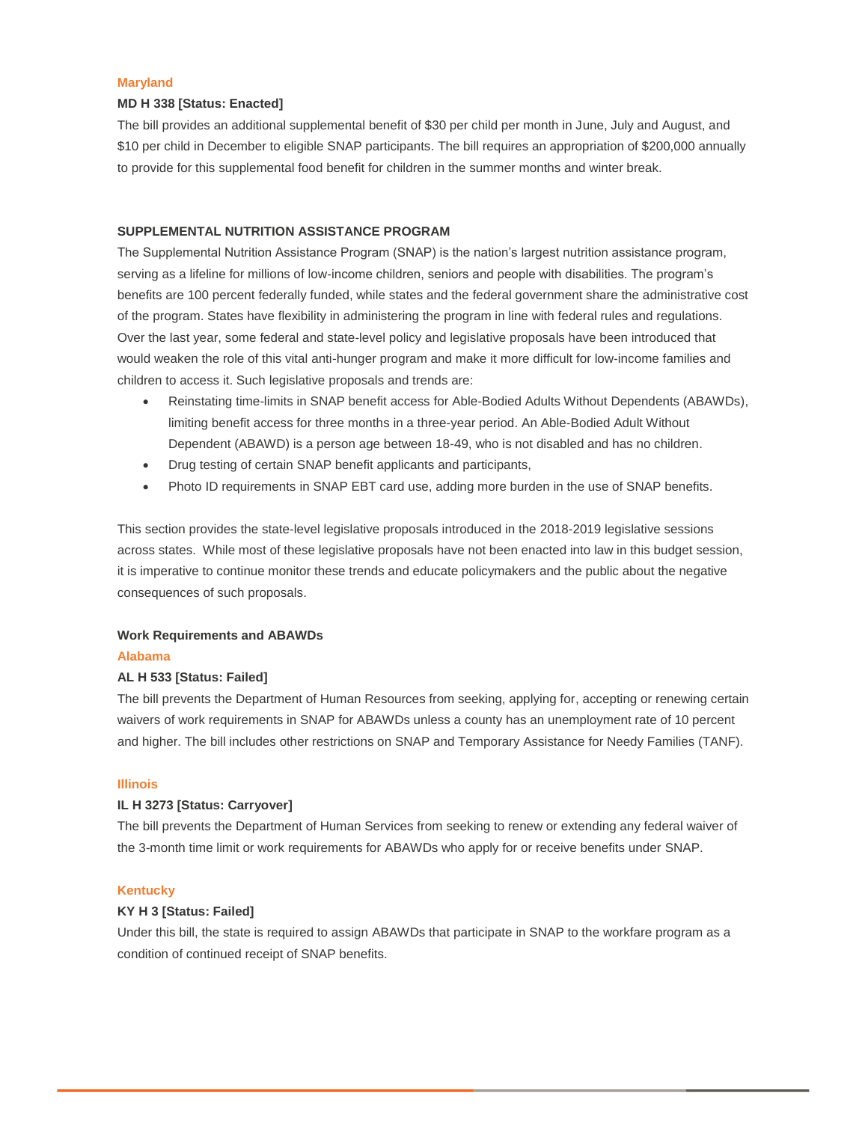## **Maryland**

## **MD H 338 [Status: Enacted]**

The bill provides an additional supplemental benefit of \$30 per child per month in June, July and August, and \$10 per child in December to eligible SNAP participants. The bill requires an appropriation of \$200,000 annually to provide for this supplemental food benefit for children in the summer months and winter break.

## **SUPPLEMENTAL NUTRITION ASSISTANCE PROGRAM**

The Supplemental Nutrition Assistance Program (SNAP) is the nation's largest nutrition assistance program, serving as a lifeline for millions of low-income children, seniors and people with disabilities. The program's benefits are 100 percent federally funded, while states and the federal government share the administrative cost of the program. States have flexibility in administering the program in line with federal rules and regulations. Over the last year, some federal and state-level policy and legislative proposals have been introduced that would weaken the role of this vital anti-hunger program and make it more difficult for low-income families and children to access it. Such legislative proposals and trends are:

- Reinstating time-limits in SNAP benefit access for Able-Bodied Adults Without Dependents (ABAWDs), limiting benefit access for three months in a three-year period. An Able-Bodied Adult Without Dependent (ABAWD) is a person age between 18-49, who is not disabled and has no children.
- Drug testing of certain SNAP benefit applicants and participants,
- Photo ID requirements in SNAP EBT card use, adding more burden in the use of SNAP benefits.

This section provides the state-level legislative proposals introduced in the 2018-2019 legislative sessions across states. While most of these legislative proposals have not been enacted into law in this budget session, it is imperative to continue monitor these trends and educate policymakers and the public about the negative consequences of such proposals.

#### **Work Requirements and ABAWDs**

#### **Alabama**

## **AL H 533 [Status: Failed]**

The bill prevents the Department of Human Resources from seeking, applying for, accepting or renewing certain waivers of work requirements in SNAP for ABAWDs unless a county has an unemployment rate of 10 percent and higher. The bill includes other restrictions on SNAP and Temporary Assistance for Needy Families (TANF).

#### **Illinois**

## **IL H 3273 [Status: Carryover]**

The bill prevents the Department of Human Services from seeking to renew or extending any federal waiver of the 3-month time limit or work requirements for ABAWDs who apply for or receive benefits under SNAP.

## **Kentucky**

# **KY H 3 [Status: Failed]**

Under this bill, the state is required to assign ABAWDs that participate in SNAP to the workfare program as a condition of continued receipt of SNAP benefits.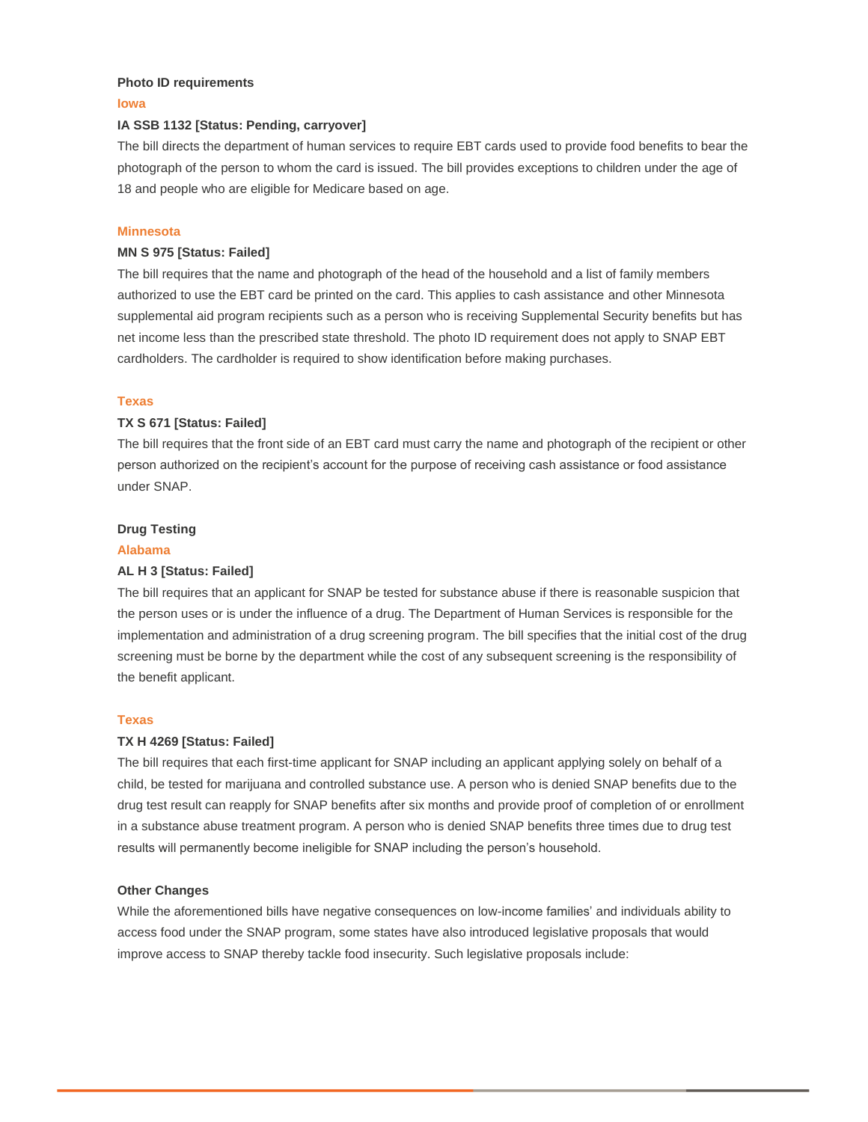## **Photo ID requirements**

#### **Iowa**

## **IA SSB 1132 [Status: Pending, carryover]**

The bill directs the department of human services to require EBT cards used to provide food benefits to bear the photograph of the person to whom the card is issued. The bill provides exceptions to children under the age of 18 and people who are eligible for Medicare based on age.

## **Minnesota**

## **MN S 975 [Status: Failed]**

The bill requires that the name and photograph of the head of the household and a list of family members authorized to use the EBT card be printed on the card. This applies to cash assistance and other Minnesota supplemental aid program recipients such as a person who is receiving Supplemental Security benefits but has net income less than the prescribed state threshold. The photo ID requirement does not apply to SNAP EBT cardholders. The cardholder is required to show identification before making purchases.

#### **Texas**

## **TX S 671 [Status: Failed]**

The bill requires that the front side of an EBT card must carry the name and photograph of the recipient or other person authorized on the recipient's account for the purpose of receiving cash assistance or food assistance under SNAP.

## **Drug Testing**

## **Alabama**

## **AL H 3 [Status: Failed]**

The bill requires that an applicant for SNAP be tested for substance abuse if there is reasonable suspicion that the person uses or is under the influence of a drug. The Department of Human Services is responsible for the implementation and administration of a drug screening program. The bill specifies that the initial cost of the drug screening must be borne by the department while the cost of any subsequent screening is the responsibility of the benefit applicant.

#### **Texas**

## **TX H 4269 [Status: Failed]**

The bill requires that each first-time applicant for SNAP including an applicant applying solely on behalf of a child, be tested for marijuana and controlled substance use. A person who is denied SNAP benefits due to the drug test result can reapply for SNAP benefits after six months and provide proof of completion of or enrollment in a substance abuse treatment program. A person who is denied SNAP benefits three times due to drug test results will permanently become ineligible for SNAP including the person's household.

## **Other Changes**

While the aforementioned bills have negative consequences on low-income families' and individuals ability to access food under the SNAP program, some states have also introduced legislative proposals that would improve access to SNAP thereby tackle food insecurity. Such legislative proposals include: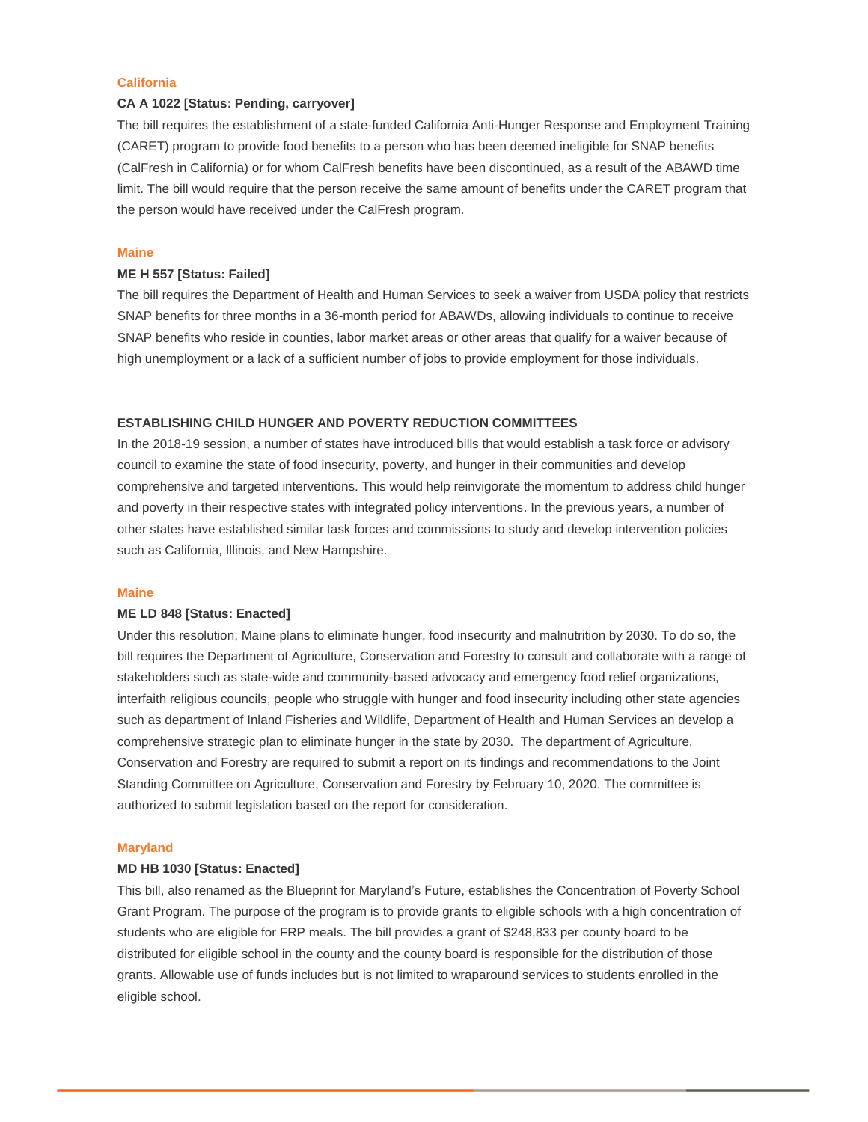## **California**

## **CA A 1022 [Status: Pending, carryover]**

The bill requires the establishment of a state-funded California Anti-Hunger Response and Employment Training (CARET) program to provide food benefits to a person who has been deemed ineligible for SNAP benefits (CalFresh in California) or for whom CalFresh benefits have been discontinued, as a result of the ABAWD time limit. The bill would require that the person receive the same amount of benefits under the CARET program that the person would have received under the CalFresh program.

## **Maine**

## **ME H 557 [Status: Failed]**

The bill requires the Department of Health and Human Services to seek a waiver from USDA policy that restricts SNAP benefits for three months in a 36-month period for ABAWDs, allowing individuals to continue to receive SNAP benefits who reside in counties, labor market areas or other areas that qualify for a waiver because of high unemployment or a lack of a sufficient number of jobs to provide employment for those individuals.

#### **ESTABLISHING CHILD HUNGER AND POVERTY REDUCTION COMMITTEES**

In the 2018-19 session, a number of states have introduced bills that would establish a task force or advisory council to examine the state of food insecurity, poverty, and hunger in their communities and develop comprehensive and targeted interventions. This would help reinvigorate the momentum to address child hunger and poverty in their respective states with integrated policy interventions. In the previous years, a number of other states have established similar task forces and commissions to study and develop intervention policies such as California, Illinois, and New Hampshire.

#### **Maine**

## **ME LD 848 [Status: Enacted]**

Under this resolution, Maine plans to eliminate hunger, food insecurity and malnutrition by 2030. To do so, the bill requires the Department of Agriculture, Conservation and Forestry to consult and collaborate with a range of stakeholders such as state-wide and community-based advocacy and emergency food relief organizations, interfaith religious councils, people who struggle with hunger and food insecurity including other state agencies such as department of Inland Fisheries and Wildlife, Department of Health and Human Services an develop a comprehensive strategic plan to eliminate hunger in the state by 2030. The department of Agriculture, Conservation and Forestry are required to submit a report on its findings and recommendations to the Joint Standing Committee on Agriculture, Conservation and Forestry by February 10, 2020. The committee is authorized to submit legislation based on the report for consideration.

#### **Maryland**

## **MD HB 1030 [Status: Enacted]**

This bill, also renamed as the Blueprint for Maryland's Future, establishes the Concentration of Poverty School Grant Program. The purpose of the program is to provide grants to eligible schools with a high concentration of students who are eligible for FRP meals. The bill provides a grant of \$248,833 per county board to be distributed for eligible school in the county and the county board is responsible for the distribution of those grants. Allowable use of funds includes but is not limited to wraparound services to students enrolled in the eligible school.